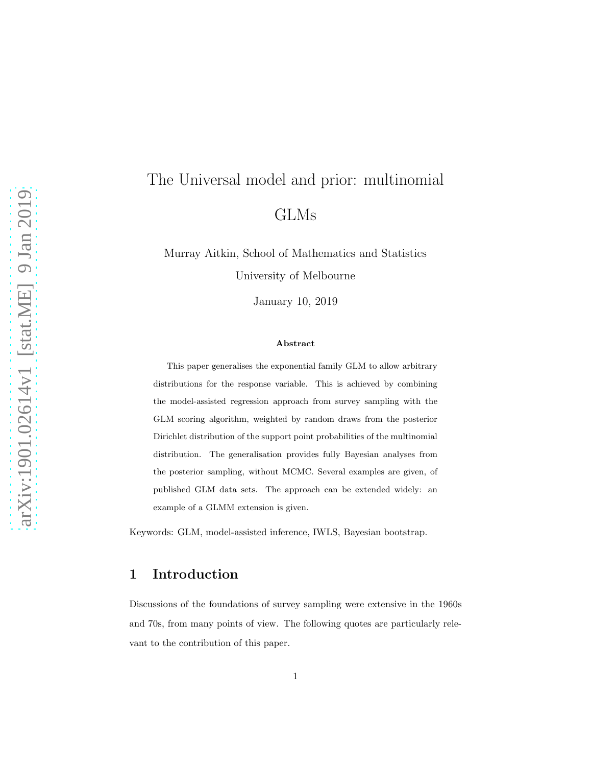# The Universal model and prior: multinomial GLMs

Murray Aitkin, School of Mathematics and Statistics University of Melbourne

January 10, 2019

#### Abstract

This paper generalises the exponential family GLM to allow arbitrary distributions for the response variable. This is achieved by combining the model-assisted regression approach from survey sampling with the GLM scoring algorithm, weighted by random draws from the posterior Dirichlet distribution of the support point probabilities of the multinomial distribution. The generalisation provides fully Bayesian analyses from the posterior sampling, without MCMC. Several examples are given, of published GLM data sets. The approach can be extended widely: an example of a GLMM extension is given.

Keywords: GLM, model-assisted inference, IWLS, Bayesian bootstrap.

#### 1 Introduction

Discussions of the foundations of survey sampling were extensive in the 1960s and 70s, from many points of view. The following quotes are particularly relevant to the contribution of this paper.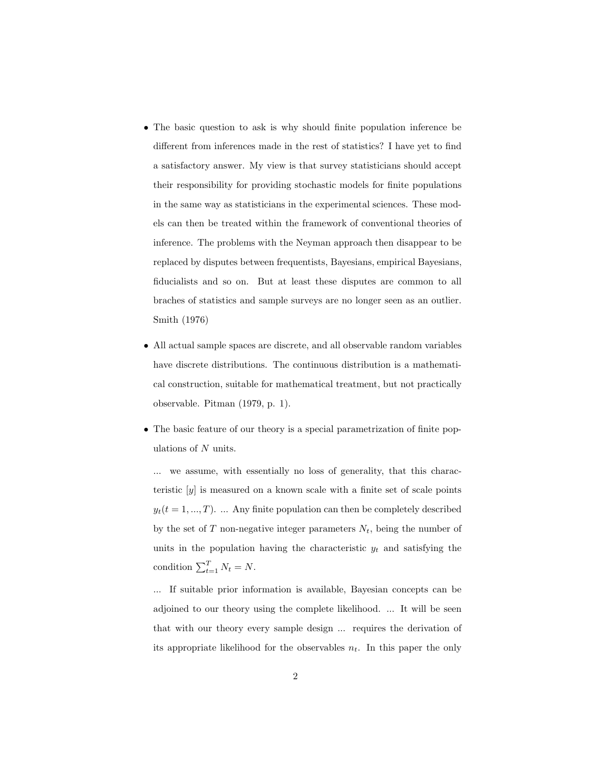- The basic question to ask is why should finite population inference be different from inferences made in the rest of statistics? I have yet to find a satisfactory answer. My view is that survey statisticians should accept their responsibility for providing stochastic models for finite populations in the same way as statisticians in the experimental sciences. These models can then be treated within the framework of conventional theories of inference. The problems with the Neyman approach then disappear to be replaced by disputes between frequentists, Bayesians, empirical Bayesians, fiducialists and so on. But at least these disputes are common to all braches of statistics and sample surveys are no longer seen as an outlier. Smith (1976)
- All actual sample spaces are discrete, and all observable random variables have discrete distributions. The continuous distribution is a mathematical construction, suitable for mathematical treatment, but not practically observable. Pitman (1979, p. 1).
- The basic feature of our theory is a special parametrization of finite populations of N units.

... we assume, with essentially no loss of generality, that this characteristic  $[y]$  is measured on a known scale with a finite set of scale points  $y_t(t = 1, ..., T)$ . ... Any finite population can then be completely described by the set of  $T$  non-negative integer parameters  $N_t$ , being the number of units in the population having the characteristic  $y_t$  and satisfying the condition  $\sum_{t=1}^{T} N_t = N$ .

... If suitable prior information is available, Bayesian concepts can be adjoined to our theory using the complete likelihood. ... It will be seen that with our theory every sample design ... requires the derivation of its appropriate likelihood for the observables  $n_t$ . In this paper the only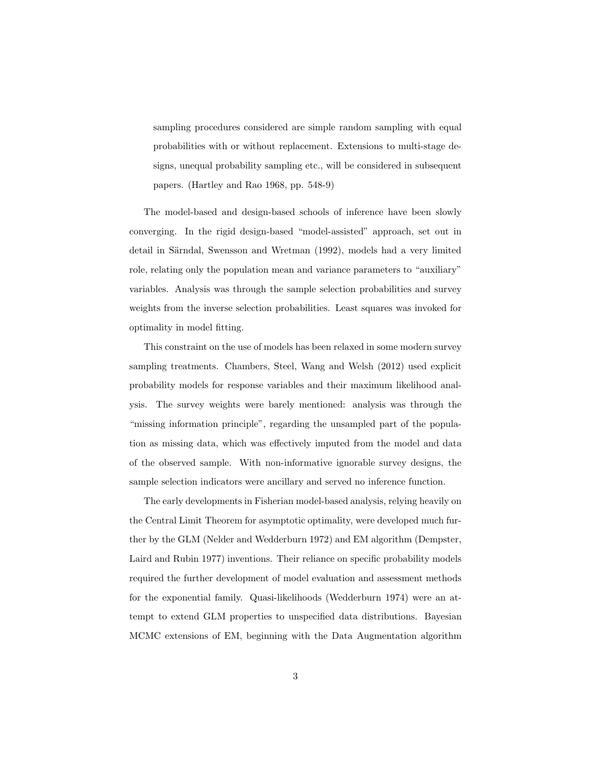sampling procedures considered are simple random sampling with equal probabilities with or without replacement. Extensions to multi-stage designs, unequal probability sampling etc., will be considered in subsequent papers. (Hartley and Rao 1968, pp. 548-9)

The model-based and design-based schools of inference have been slowly converging. In the rigid design-based "model-assisted" approach, set out in detail in Särndal, Swensson and Wretman (1992), models had a very limited role, relating only the population mean and variance parameters to "auxiliary" variables. Analysis was through the sample selection probabilities and survey weights from the inverse selection probabilities. Least squares was invoked for optimality in model fitting.

This constraint on the use of models has been relaxed in some modern survey sampling treatments. Chambers, Steel, Wang and Welsh (2012) used explicit probability models for response variables and their maximum likelihood analysis. The survey weights were barely mentioned: analysis was through the "missing information principle", regarding the unsampled part of the population as missing data, which was effectively imputed from the model and data of the observed sample. With non-informative ignorable survey designs, the sample selection indicators were ancillary and served no inference function.

The early developments in Fisherian model-based analysis, relying heavily on the Central Limit Theorem for asymptotic optimality, were developed much further by the GLM (Nelder and Wedderburn 1972) and EM algorithm (Dempster, Laird and Rubin 1977) inventions. Their reliance on specific probability models required the further development of model evaluation and assessment methods for the exponential family. Quasi-likelihoods (Wedderburn 1974) were an attempt to extend GLM properties to unspecified data distributions. Bayesian MCMC extensions of EM, beginning with the Data Augmentation algorithm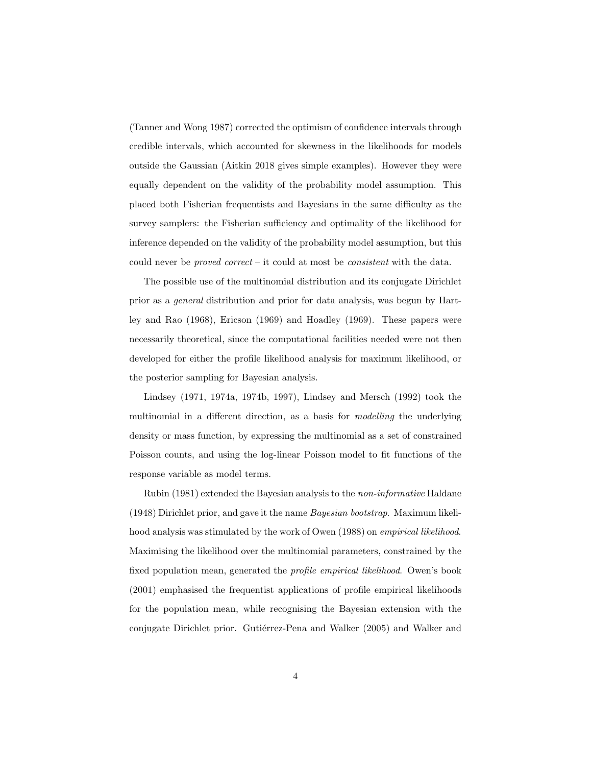(Tanner and Wong 1987) corrected the optimism of confidence intervals through credible intervals, which accounted for skewness in the likelihoods for models outside the Gaussian (Aitkin 2018 gives simple examples). However they were equally dependent on the validity of the probability model assumption. This placed both Fisherian frequentists and Bayesians in the same difficulty as the survey samplers: the Fisherian sufficiency and optimality of the likelihood for inference depended on the validity of the probability model assumption, but this could never be proved correct – it could at most be consistent with the data.

The possible use of the multinomial distribution and its conjugate Dirichlet prior as a general distribution and prior for data analysis, was begun by Hartley and Rao (1968), Ericson (1969) and Hoadley (1969). These papers were necessarily theoretical, since the computational facilities needed were not then developed for either the profile likelihood analysis for maximum likelihood, or the posterior sampling for Bayesian analysis.

Lindsey (1971, 1974a, 1974b, 1997), Lindsey and Mersch (1992) took the multinomial in a different direction, as a basis for modelling the underlying density or mass function, by expressing the multinomial as a set of constrained Poisson counts, and using the log-linear Poisson model to fit functions of the response variable as model terms.

Rubin (1981) extended the Bayesian analysis to the non-informative Haldane (1948) Dirichlet prior, and gave it the name Bayesian bootstrap. Maximum likelihood analysis was stimulated by the work of Owen (1988) on empirical likelihood. Maximising the likelihood over the multinomial parameters, constrained by the fixed population mean, generated the profile empirical likelihood. Owen's book (2001) emphasised the frequentist applications of profile empirical likelihoods for the population mean, while recognising the Bayesian extension with the conjugate Dirichlet prior. Gutiérrez-Pena and Walker (2005) and Walker and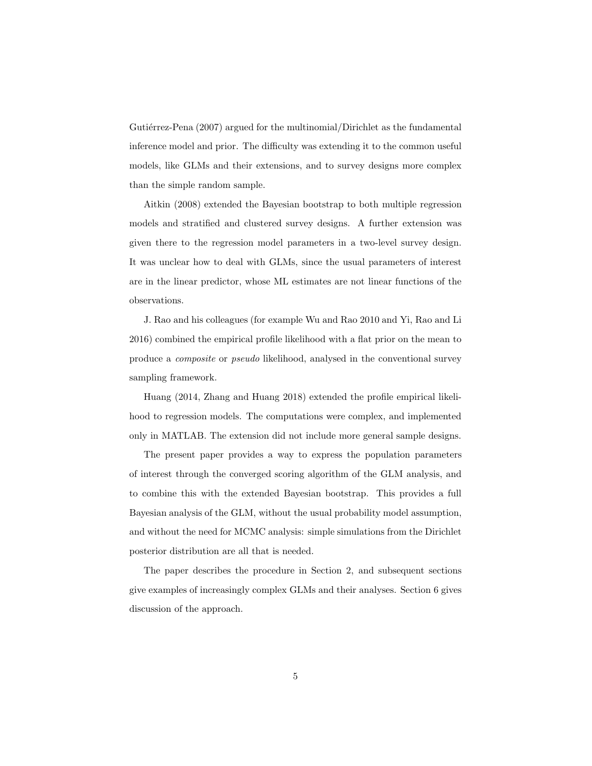Gutiérrez-Pena  $(2007)$  argued for the multinomial/Dirichlet as the fundamental inference model and prior. The difficulty was extending it to the common useful models, like GLMs and their extensions, and to survey designs more complex than the simple random sample.

Aitkin (2008) extended the Bayesian bootstrap to both multiple regression models and stratified and clustered survey designs. A further extension was given there to the regression model parameters in a two-level survey design. It was unclear how to deal with GLMs, since the usual parameters of interest are in the linear predictor, whose ML estimates are not linear functions of the observations.

J. Rao and his colleagues (for example Wu and Rao 2010 and Yi, Rao and Li 2016) combined the empirical profile likelihood with a flat prior on the mean to produce a composite or pseudo likelihood, analysed in the conventional survey sampling framework.

Huang (2014, Zhang and Huang 2018) extended the profile empirical likelihood to regression models. The computations were complex, and implemented only in MATLAB. The extension did not include more general sample designs.

The present paper provides a way to express the population parameters of interest through the converged scoring algorithm of the GLM analysis, and to combine this with the extended Bayesian bootstrap. This provides a full Bayesian analysis of the GLM, without the usual probability model assumption, and without the need for MCMC analysis: simple simulations from the Dirichlet posterior distribution are all that is needed.

The paper describes the procedure in Section 2, and subsequent sections give examples of increasingly complex GLMs and their analyses. Section 6 gives discussion of the approach.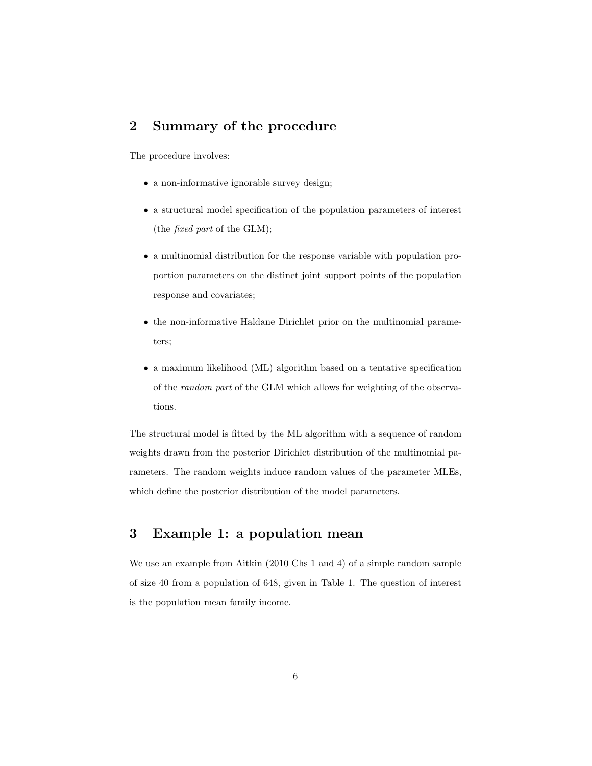# 2 Summary of the procedure

The procedure involves:

- a non-informative ignorable survey design;
- a structural model specification of the population parameters of interest (the fixed part of the GLM);
- a multinomial distribution for the response variable with population proportion parameters on the distinct joint support points of the population response and covariates;
- the non-informative Haldane Dirichlet prior on the multinomial parameters;
- a maximum likelihood (ML) algorithm based on a tentative specification of the random part of the GLM which allows for weighting of the observations.

The structural model is fitted by the ML algorithm with a sequence of random weights drawn from the posterior Dirichlet distribution of the multinomial parameters. The random weights induce random values of the parameter MLEs, which define the posterior distribution of the model parameters.

## 3 Example 1: a population mean

We use an example from Aitkin (2010 Chs 1 and 4) of a simple random sample of size 40 from a population of 648, given in Table 1. The question of interest is the population mean family income.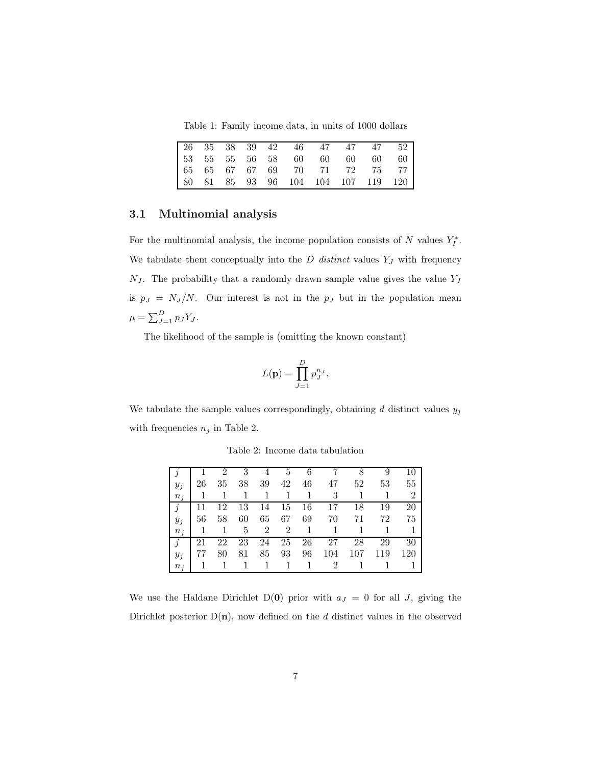Table 1: Family income data, in units of 1000 dollars

|  |  |  | 26 35 38 39 42 46 47 47 47 52      |  |  |
|--|--|--|------------------------------------|--|--|
|  |  |  | [53 55 55 56 58 60 60 60 60 60     |  |  |
|  |  |  | 65 65 67 67 69 70 71 72 75 77      |  |  |
|  |  |  | 80 81 85 93 96 104 104 107 119 120 |  |  |

#### 3.1 Multinomial analysis

For the multinomial analysis, the income population consists of  $N$  values  $Y_I^*$ . We tabulate them conceptually into the  $D$  distinct values  $Y_J$  with frequency  $N_J$ . The probability that a randomly drawn sample value gives the value  $Y_J$ is  $p_J = N_J / N$ . Our interest is not in the  $p_J$  but in the population mean  $\mu = \sum_{J=1}^{D} p_J Y_J.$ 

The likelihood of the sample is (omitting the known constant)

$$
L(\mathbf{p}) = \prod_{J=1}^{D} p_J^{n_J}.
$$

We tabulate the sample values correspondingly, obtaining  $d$  distinct values  $y_j$ with frequencies  $n_j$  in Table 2.

|                         |                |    | 3  |                | 4 5                 | 6              |                |     | 9   | 10             |
|-------------------------|----------------|----|----|----------------|---------------------|----------------|----------------|-----|-----|----------------|
| $y_j$                   | 26             | 35 | 38 | 39             | 42                  | 46             | 47             | 52  | 53  | 55             |
| $n_i$                   | -1             | 1  | 1  | $\overline{1}$ | 1                   | $\overline{1}$ | - 3            |     |     | $\overline{2}$ |
| $\boldsymbol{\eta}$     | 11             | 12 |    |                |                     | 13 14 15 16    | 17             | 18  | 19  | 20             |
| $y_j$                   | 56             | 58 | 60 | 65             | -67                 | 69             | 70             | 71  | 72  | 75             |
| $n_i$                   | $\overline{1}$ | -1 | 5  |                | $2 \quad 2 \quad 1$ |                | - 1            |     |     |                |
| $\overline{\mathbf{r}}$ | 21             | 22 | 23 |                |                     | 24 25 26       | 27             | 28  | 29  | 30             |
| $y_j$                   | 77             | 80 | 81 | 85             | 93                  | 96             | 104            | 107 | 119 | 120            |
| $n_i$                   | - 1            |    | 1  | $\overline{1}$ | $\mathbf{1}$        |                | $\overline{2}$ |     |     |                |

Table 2: Income data tabulation

We use the Haldane Dirichlet D(0) prior with  $a_J = 0$  for all J, giving the Dirichlet posterior  $D(n)$ , now defined on the d distinct values in the observed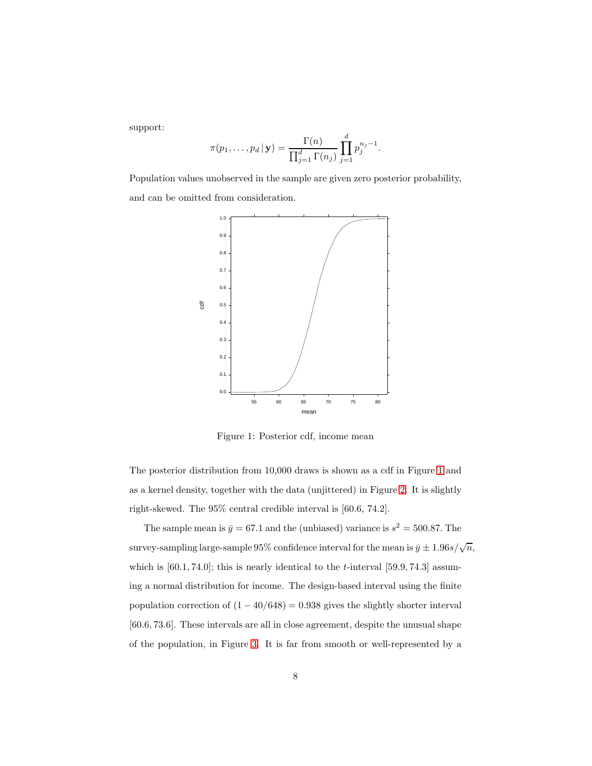support:

$$
\pi(p_1,\ldots,p_d\,|\,\mathbf{y})=\frac{\Gamma(n)}{\prod_{j=1}^d\Gamma(n_j)}\prod_{j=1}^dp_j^{n_j-1}.
$$

<span id="page-7-0"></span>Population values unobserved in the sample are given zero posterior probability, and can be omitted from consideration.



Figure 1: Posterior cdf, income mean

The posterior distribution from 10,000 draws is shown as a cdf in Figure [1](#page-7-0) and as a kernel density, together with the data (unjittered) in Figure [2.](#page-8-0) It is slightly right-skewed. The 95% central credible interval is [60.6, 74.2].

The sample mean is  $\bar{y} = 67.1$  and the (unbiased) variance is  $s^2 = 500.87$ . The survey-sampling large-sample 95% confidence interval for the mean is  $\bar{y} \pm 1.96 s/\sqrt{n}$ , which is  $[60.1, 74.0]$ ; this is nearly identical to the *t*-interval  $[59.9, 74.3]$  assuming a normal distribution for income. The design-based interval using the finite population correction of  $(1 - 40/648) = 0.938$  gives the slightly shorter interval [60.6, 73.6]. These intervals are all in close agreement, despite the unusual shape of the population, in Figure [3.](#page-8-1) It is far from smooth or well-represented by a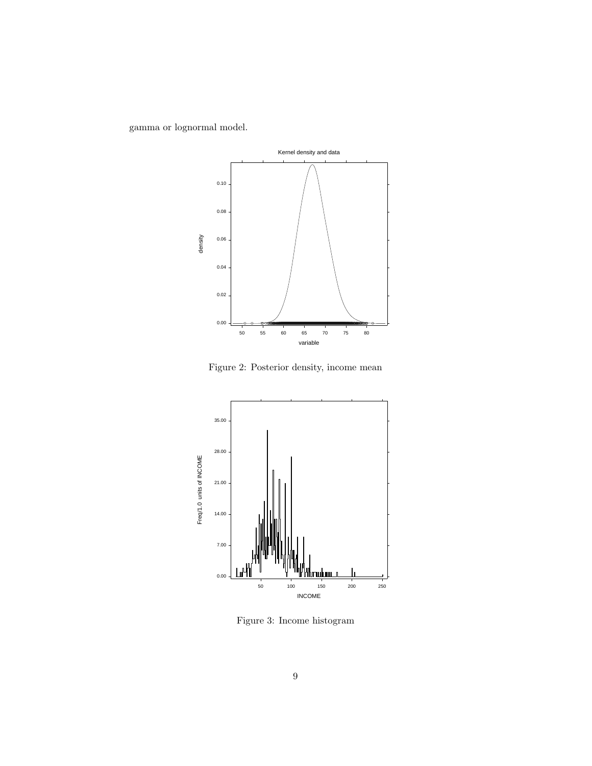<span id="page-8-0"></span>gamma or lognormal model.



Figure 2: Posterior density, income mean

<span id="page-8-1"></span>

Figure 3: Income histogram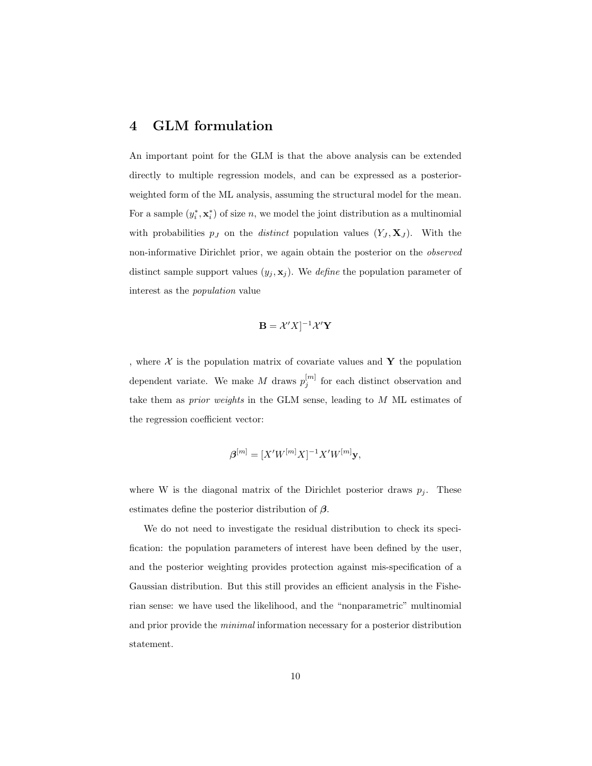#### 4 GLM formulation

An important point for the GLM is that the above analysis can be extended directly to multiple regression models, and can be expressed as a posteriorweighted form of the ML analysis, assuming the structural model for the mean. For a sample  $(y_i^*, \mathbf{x}_i^*)$  of size n, we model the joint distribution as a multinomial with probabilities  $p_j$  on the *distinct* population values  $(Y_j, \mathbf{X}_j)$ . With the non-informative Dirichlet prior, we again obtain the posterior on the observed distinct sample support values  $(y_j, \mathbf{x}_j)$ . We *define* the population parameter of interest as the population value

$$
\mathbf{B} = \mathcal{X}'X]^{-1}\mathcal{X}'\mathbf{Y}
$$

, where  $X$  is the population matrix of covariate values and Y the population dependent variate. We make M draws  $p_j^{[m]}$  for each distinct observation and take them as prior weights in the GLM sense, leading to M ML estimates of the regression coefficient vector:

$$
\boldsymbol{\beta}^{[m]} = [X'W^{[m]}X]^{-1}X'W^{[m]}\mathbf{y},
$$

where W is the diagonal matrix of the Dirichlet posterior draws  $p_i$ . These estimates define the posterior distribution of  $\beta$ .

We do not need to investigate the residual distribution to check its specification: the population parameters of interest have been defined by the user, and the posterior weighting provides protection against mis-specification of a Gaussian distribution. But this still provides an efficient analysis in the Fisherian sense: we have used the likelihood, and the "nonparametric" multinomial and prior provide the minimal information necessary for a posterior distribution statement.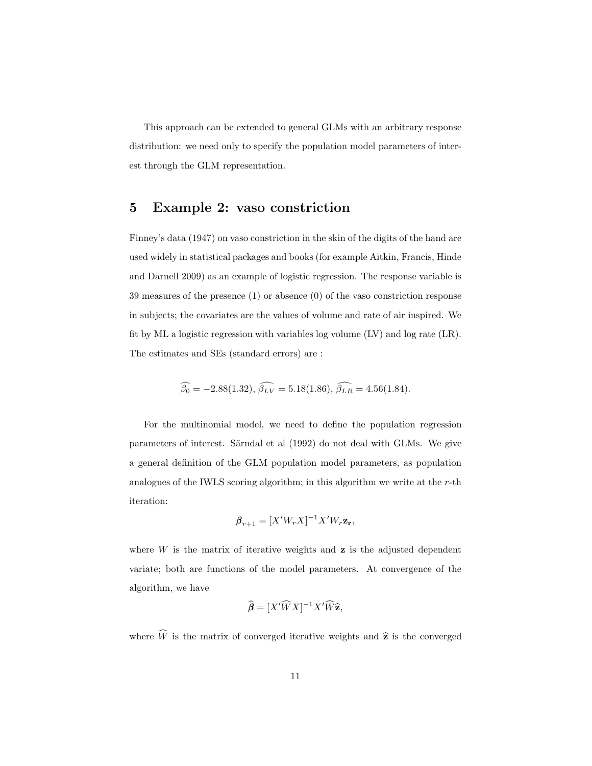This approach can be extended to general GLMs with an arbitrary response distribution: we need only to specify the population model parameters of interest through the GLM representation.

#### 5 Example 2: vaso constriction

Finney's data (1947) on vaso constriction in the skin of the digits of the hand are used widely in statistical packages and books (for example Aitkin, Francis, Hinde and Darnell 2009) as an example of logistic regression. The response variable is 39 measures of the presence (1) or absence (0) of the vaso constriction response in subjects; the covariates are the values of volume and rate of air inspired. We fit by ML a logistic regression with variables log volume (LV) and log rate (LR). The estimates and SEs (standard errors) are :

$$
\widehat{\beta_0} = -2.88(1.32), \widehat{\beta_{LV}} = 5.18(1.86), \widehat{\beta_{LR}} = 4.56(1.84).
$$

For the multinomial model, we need to define the population regression parameters of interest. Särndal et al (1992) do not deal with GLMs. We give a general definition of the GLM population model parameters, as population analogues of the IWLS scoring algorithm; in this algorithm we write at the  $r$ -th iteration:

$$
\boldsymbol{\beta}_{r+1} = [X'W_r X]^{-1} X' W_r \mathbf{z_r},
$$

where  $W$  is the matrix of iterative weights and  $z$  is the adjusted dependent variate; both are functions of the model parameters. At convergence of the algorithm, we have

$$
\widehat{\boldsymbol{\beta}} = [X'\widehat{W}X]^{-1}X'\widehat{W}\widehat{\mathbf{z}},
$$

where  $\widehat{W}$  is the matrix of converged iterative weights and  $\widehat{z}$  is the converged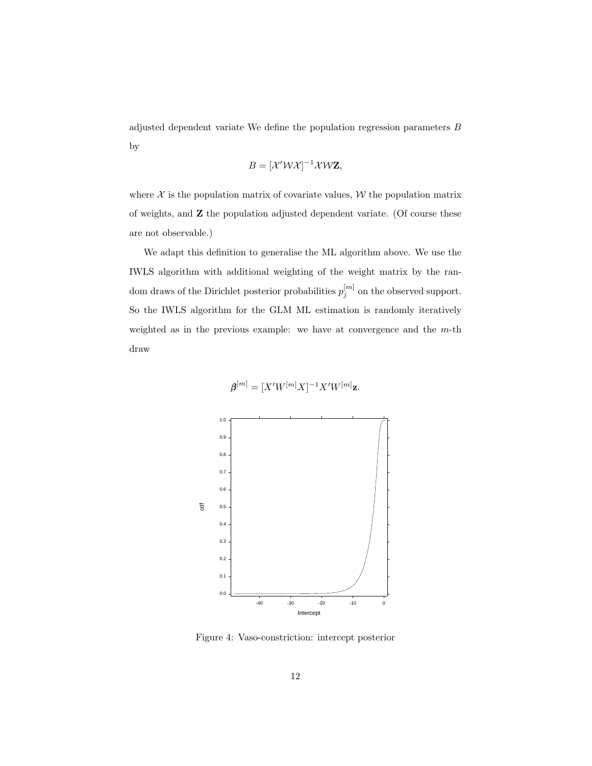adjusted dependent variate We define the population regression parameters B by

$$
B = [\mathcal{X}'\mathcal{W}\mathcal{X}]^{-1}\mathcal{X}\mathcal{W}\mathbf{Z},
$$

where  $X$  is the population matrix of covariate values,  $W$  the population matrix of weights, and Z the population adjusted dependent variate. (Of course these are not observable.)

We adapt this definition to generalise the ML algorithm above. We use the IWLS algorithm with additional weighting of the weight matrix by the random draws of the Dirichlet posterior probabilities  $p_j^{[m]}$  on the observed support. So the IWLS algorithm for the GLM ML estimation is randomly iteratively weighted as in the previous example: we have at convergence and the m-th draw

$$
\boldsymbol{\beta}^{[m]} = [X'W^{[m]}X]^{-1}X'W^{[m]}\mathbf{z}.
$$

<span id="page-11-0"></span>

Figure 4: Vaso-constriction: intercept posterior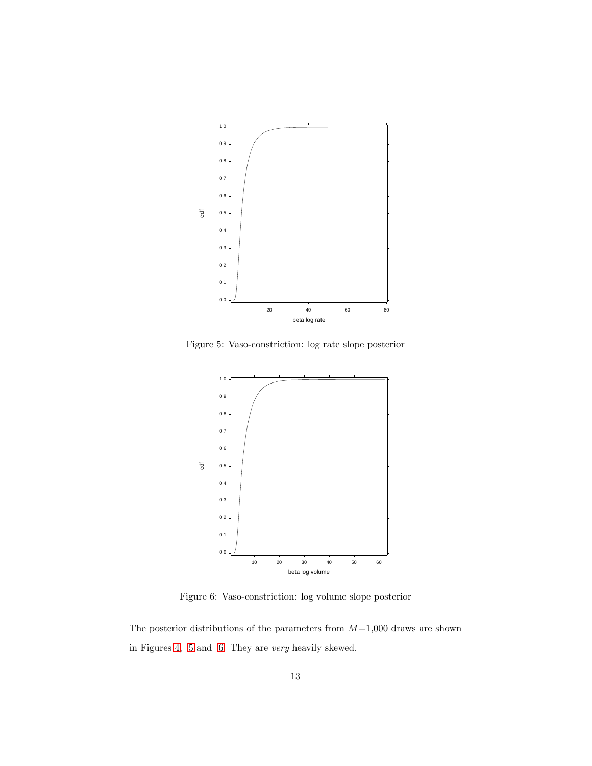<span id="page-12-0"></span>

Figure 5: Vaso-constriction: log rate slope posterior

<span id="page-12-1"></span>

Figure 6: Vaso-constriction: log volume slope posterior

The posterior distributions of the parameters from  $M=1,000$  draws are shown in Figures [4,](#page-11-0) [5](#page-12-0) and [6.](#page-12-1) They are very heavily skewed.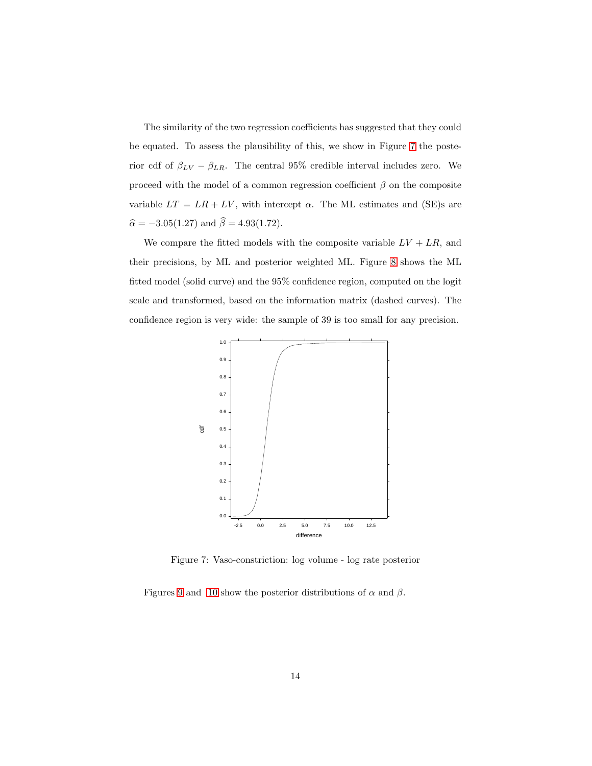The similarity of the two regression coefficients has suggested that they could be equated. To assess the plausibility of this, we show in Figure [7](#page-13-0) the posterior cdf of  $\beta_{LV} - \beta_{LR}$ . The central 95% credible interval includes zero. We proceed with the model of a common regression coefficient  $\beta$  on the composite variable  $LT = LR + LV$ , with intercept  $\alpha$ . The ML estimates and (SE)s are  $\widehat{\alpha} = -3.05(1.27)$  and  $\widehat{\beta} = 4.93(1.72).$ 

We compare the fitted models with the composite variable  $LV + LR$ , and their precisions, by ML and posterior weighted ML. Figure [8](#page-14-0) shows the ML fitted model (solid curve) and the 95% confidence region, computed on the logit scale and transformed, based on the information matrix (dashed curves). The confidence region is very wide: the sample of 39 is too small for any precision.

<span id="page-13-0"></span>

Figure 7: Vaso-constriction: log volume - log rate posterior

Figures [9](#page-14-1) and [10](#page-15-0) show the posterior distributions of  $\alpha$  and  $\beta$ .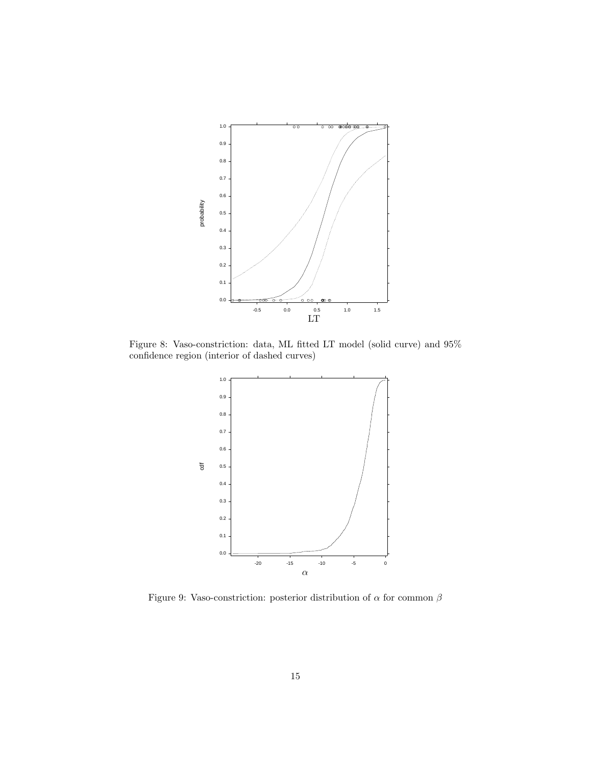<span id="page-14-0"></span>

<span id="page-14-1"></span>Figure 8: Vaso-constriction: data, ML fitted LT model (solid curve) and 95% confidence region (interior of dashed curves)



Figure 9: Vaso-constriction: posterior distribution of  $\alpha$  for common  $\beta$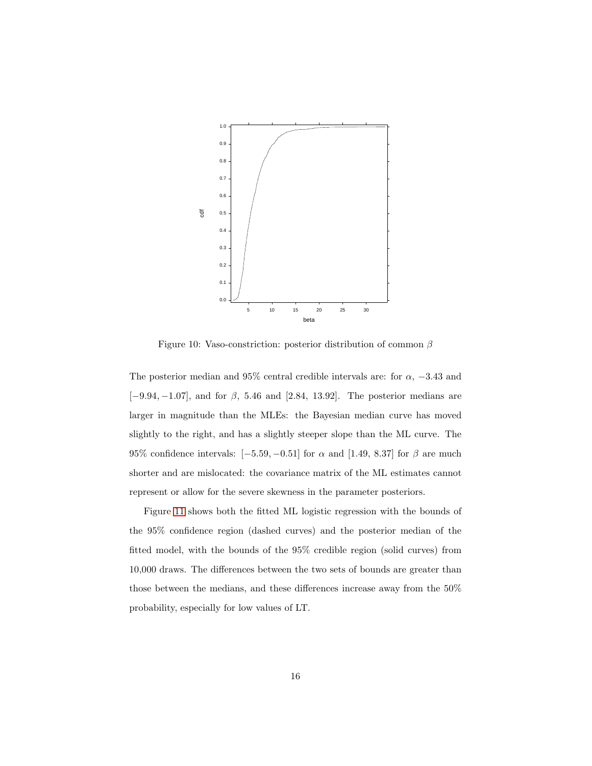<span id="page-15-0"></span>

Figure 10: Vaso-constriction: posterior distribution of common  $\beta$ 

The posterior median and 95% central credible intervals are: for  $\alpha$ , -3.43 and  $[-9.94, -1.07]$ , and for  $\beta$ , 5.46 and [2.84, 13.92]. The posterior medians are larger in magnitude than the MLEs: the Bayesian median curve has moved slightly to the right, and has a slightly steeper slope than the ML curve. The 95% confidence intervals:  $[-5.59, -0.51]$  for  $\alpha$  and [1.49, 8.37] for  $\beta$  are much shorter and are mislocated: the covariance matrix of the ML estimates cannot represent or allow for the severe skewness in the parameter posteriors.

Figure [11](#page-16-0) shows both the fitted ML logistic regression with the bounds of the 95% confidence region (dashed curves) and the posterior median of the fitted model, with the bounds of the 95% credible region (solid curves) from 10,000 draws. The differences between the two sets of bounds are greater than those between the medians, and these differences increase away from the 50% probability, especially for low values of LT.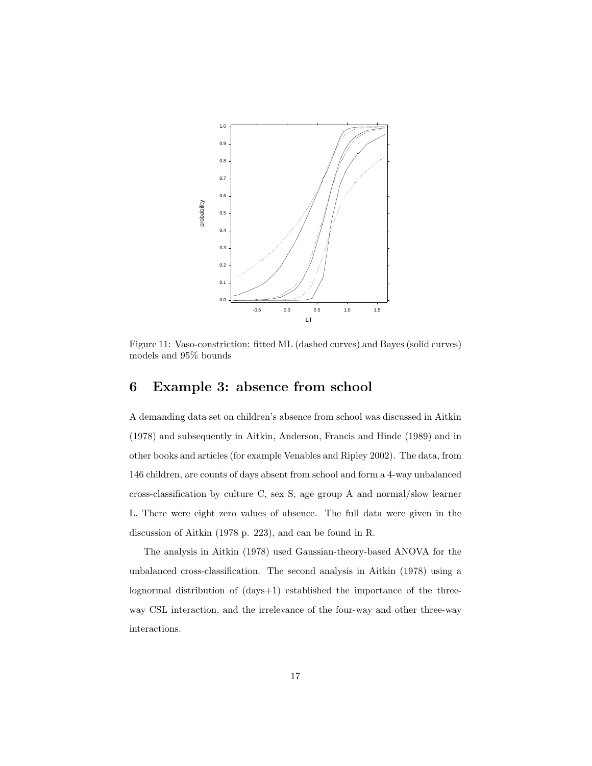<span id="page-16-0"></span>

Figure 11: Vaso-constriction: fitted ML (dashed curves) and Bayes (solid curves) models and 95% bounds

## 6 Example 3: absence from school

A demanding data set on children's absence from school was discussed in Aitkin (1978) and subsequently in Aitkin, Anderson, Francis and Hinde (1989) and in other books and articles (for example Venables and Ripley 2002). The data, from 146 children, are counts of days absent from school and form a 4-way unbalanced cross-classification by culture C, sex S, age group A and normal/slow learner L. There were eight zero values of absence. The full data were given in the discussion of Aitkin (1978 p. 223), and can be found in R.

The analysis in Aitkin (1978) used Gaussian-theory-based ANOVA for the unbalanced cross-classification. The second analysis in Aitkin (1978) using a lognormal distribution of (days+1) established the importance of the threeway CSL interaction, and the irrelevance of the four-way and other three-way interactions.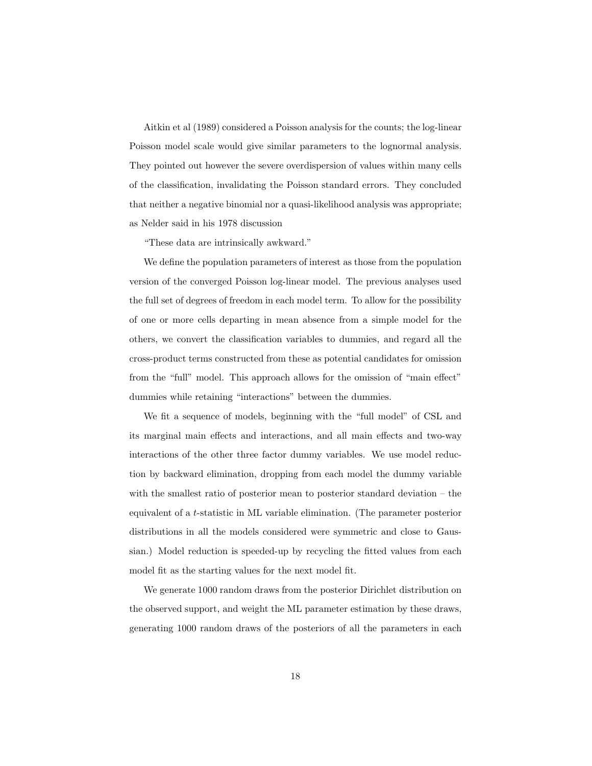Aitkin et al (1989) considered a Poisson analysis for the counts; the log-linear Poisson model scale would give similar parameters to the lognormal analysis. They pointed out however the severe overdispersion of values within many cells of the classification, invalidating the Poisson standard errors. They concluded that neither a negative binomial nor a quasi-likelihood analysis was appropriate; as Nelder said in his 1978 discussion

"These data are intrinsically awkward."

We define the population parameters of interest as those from the population version of the converged Poisson log-linear model. The previous analyses used the full set of degrees of freedom in each model term. To allow for the possibility of one or more cells departing in mean absence from a simple model for the others, we convert the classification variables to dummies, and regard all the cross-product terms constructed from these as potential candidates for omission from the "full" model. This approach allows for the omission of "main effect" dummies while retaining "interactions" between the dummies.

We fit a sequence of models, beginning with the "full model" of CSL and its marginal main effects and interactions, and all main effects and two-way interactions of the other three factor dummy variables. We use model reduction by backward elimination, dropping from each model the dummy variable with the smallest ratio of posterior mean to posterior standard deviation – the equivalent of a t-statistic in ML variable elimination. (The parameter posterior distributions in all the models considered were symmetric and close to Gaussian.) Model reduction is speeded-up by recycling the fitted values from each model fit as the starting values for the next model fit.

We generate 1000 random draws from the posterior Dirichlet distribution on the observed support, and weight the ML parameter estimation by these draws, generating 1000 random draws of the posteriors of all the parameters in each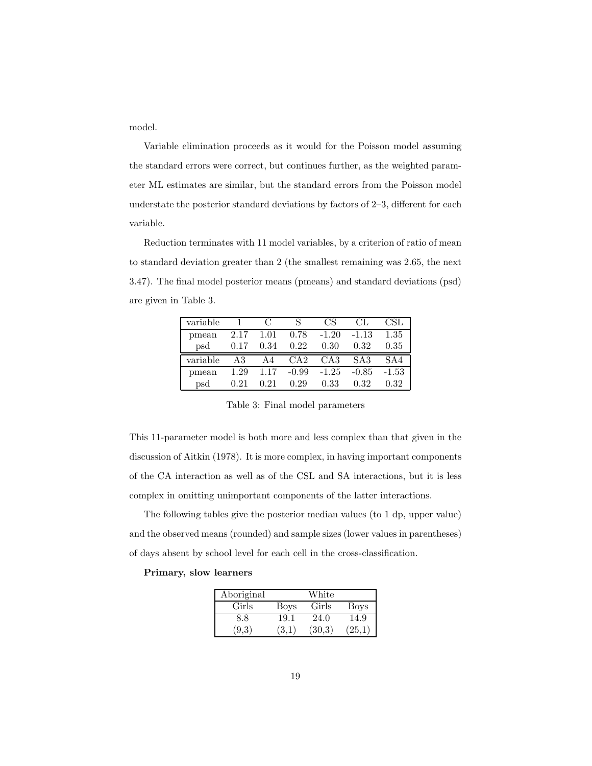model.

Variable elimination proceeds as it would for the Poisson model assuming the standard errors were correct, but continues further, as the weighted parameter ML estimates are similar, but the standard errors from the Poisson model understate the posterior standard deviations by factors of 2–3, different for each variable.

Reduction terminates with 11 model variables, by a criterion of ratio of mean to standard deviation greater than 2 (the smallest remaining was 2.65, the next 3.47). The final model posterior means (pmeans) and standard deviations (psd) are given in Table 3.

| variable |      | $\mathcal{C}$ |         | CS              | CL.             | CSL     |
|----------|------|---------------|---------|-----------------|-----------------|---------|
| pmean    | 2.17 | 1.01          | 0.78    | $-1.20$         | $-1.13$         | 1.35    |
| psd      | 0.17 | 0.34          | 0.22    | 0.30            | 0.32            | 0.35    |
| variable | AЗ   | A4            | CA2     | CA <sub>3</sub> | SA <sub>3</sub> | SAA     |
| pmean    | 1.29 | 1.17          | $-0.99$ | $-1.25$         | $-0.85$         | $-1.53$ |
| psd      | 0.21 | 0.21          | 0.29    | 0.33            | 0.32            | 0.32    |

Table 3: Final model parameters

This 11-parameter model is both more and less complex than that given in the discussion of Aitkin (1978). It is more complex, in having important components of the CA interaction as well as of the CSL and SA interactions, but it is less complex in omitting unimportant components of the latter interactions.

The following tables give the posterior median values (to 1 dp, upper value) and the observed means (rounded) and sample sizes (lower values in parentheses) of days absent by school level for each cell in the cross-classification.

#### Primary, slow learners

| Aboriginal |       | White  |             |
|------------|-------|--------|-------------|
| Girls      | Boys  | Girls  | <b>Boys</b> |
| 8.8        | 19.1  | 24.0   | 14.9        |
| (9,3)      | (3,1) | (30.3) | (25,1)      |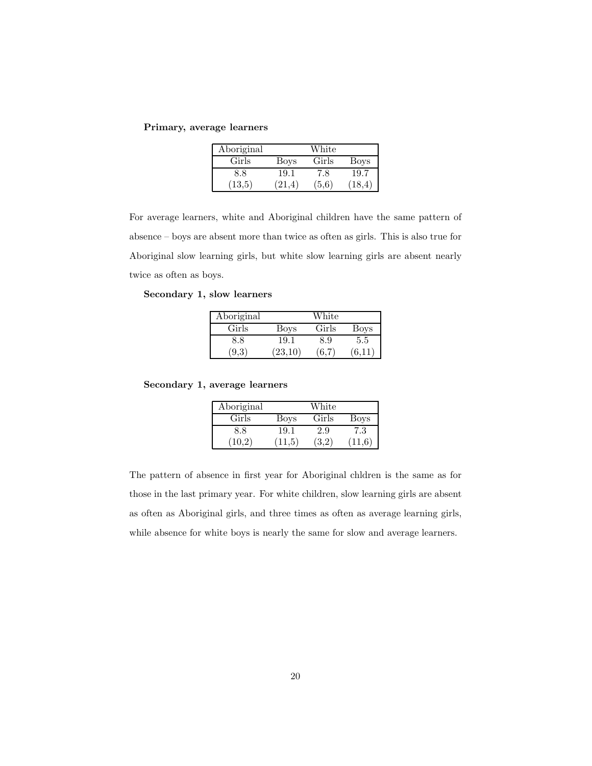Primary, average learners

| Aboriginal |        | White |         |
|------------|--------|-------|---------|
| Girls      | Boys   | Girls | Boys    |
| 8.8        | 19.1   | 7.8   | 19.7    |
| (13,5)     | (21.4) | (5.6) | (18, 4) |

For average learners, white and Aboriginal children have the same pattern of absence – boys are absent more than twice as often as girls. This is also true for Aboriginal slow learning girls, but white slow learning girls are absent nearly twice as often as boys.

Secondary 1, slow learners

| Aboriginal |         | White |       |
|------------|---------|-------|-------|
| Girls      | Boys    | Girls | Boys  |
| 8.8        | 19.1    | 8.9   | 5.5   |
| (9.3)      | (23,10) | 6.7   | (6.11 |

Secondary 1, average learners

| Aboriginal |                | White         |             |
|------------|----------------|---------------|-------------|
| Girls      | Boys           | Girls         | <b>Boys</b> |
| 8.8        | 19.1           | 2.9           | 7.3         |
| (10.2)     | $11.5^{\circ}$ | $3.2^{\circ}$ | 11.6        |

The pattern of absence in first year for Aboriginal chldren is the same as for those in the last primary year. For white children, slow learning girls are absent as often as Aboriginal girls, and three times as often as average learning girls, while absence for white boys is nearly the same for slow and average learners.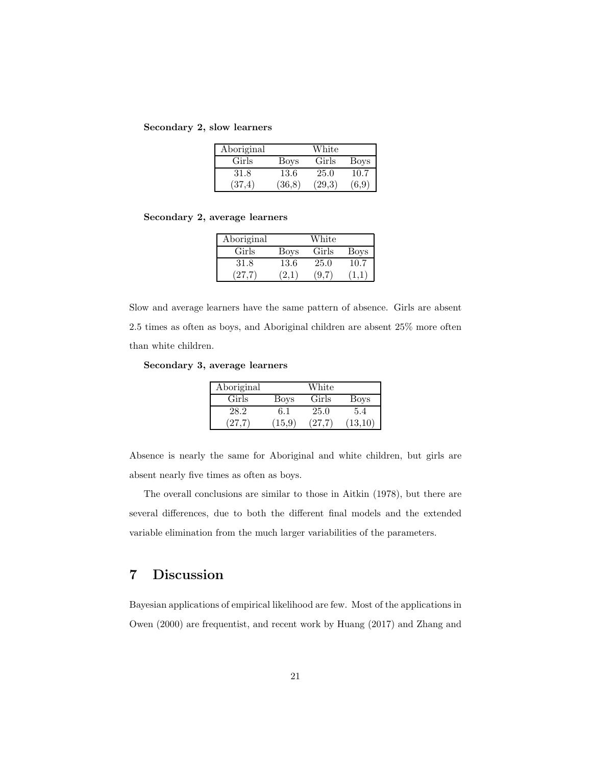Secondary 2, slow learners

| Aboriginal |        | White  |             |
|------------|--------|--------|-------------|
| Girls      | Boys   | Girls  | <b>Boys</b> |
| 31.8       | 13.6   | 25.0   | 10.7        |
| (37.4)     | (36,8) | (29,3) | (6,9)       |

Secondary 2, average learners

| Aboriginal |      | White |      |
|------------|------|-------|------|
| Girls      | Boys | Girls | Boys |
| 31.8       | 13.6 | 25.0  | 10.7 |
| (27.7)     | 2.1  | 9.7   |      |

Slow and average learners have the same pattern of absence. Girls are absent 2.5 times as often as boys, and Aboriginal children are absent 25% more often than white children.

Secondary 3, average learners

| Aboriginal |        | White |         |
|------------|--------|-------|---------|
| Girls      | Boys   | Girls | Boys    |
| 28.2       | 6.1    | 25.0  | 5.4     |
| (27.7)     | (15.9) | (27.7 | (13,10) |

Absence is nearly the same for Aboriginal and white children, but girls are absent nearly five times as often as boys.

The overall conclusions are similar to those in Aitkin (1978), but there are several differences, due to both the different final models and the extended variable elimination from the much larger variabilities of the parameters.

## 7 Discussion

Bayesian applications of empirical likelihood are few. Most of the applications in Owen (2000) are frequentist, and recent work by Huang (2017) and Zhang and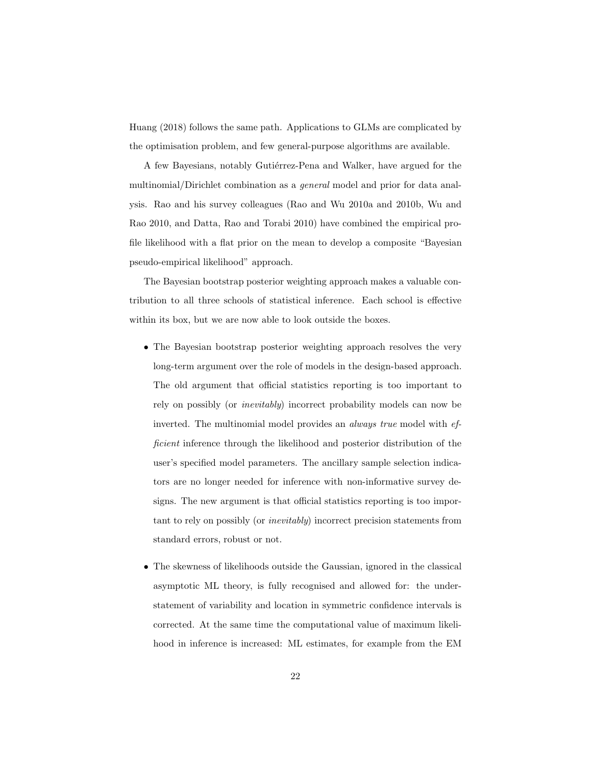Huang (2018) follows the same path. Applications to GLMs are complicated by the optimisation problem, and few general-purpose algorithms are available.

A few Bayesians, notably Gutiérrez-Pena and Walker, have argued for the multinomial/Dirichlet combination as a general model and prior for data analysis. Rao and his survey colleagues (Rao and Wu 2010a and 2010b, Wu and Rao 2010, and Datta, Rao and Torabi 2010) have combined the empirical profile likelihood with a flat prior on the mean to develop a composite "Bayesian pseudo-empirical likelihood" approach.

The Bayesian bootstrap posterior weighting approach makes a valuable contribution to all three schools of statistical inference. Each school is effective within its box, but we are now able to look outside the boxes.

- The Bayesian bootstrap posterior weighting approach resolves the very long-term argument over the role of models in the design-based approach. The old argument that official statistics reporting is too important to rely on possibly (or inevitably) incorrect probability models can now be inverted. The multinomial model provides an always true model with efficient inference through the likelihood and posterior distribution of the user's specified model parameters. The ancillary sample selection indicators are no longer needed for inference with non-informative survey designs. The new argument is that official statistics reporting is too important to rely on possibly (or inevitably) incorrect precision statements from standard errors, robust or not.
- The skewness of likelihoods outside the Gaussian, ignored in the classical asymptotic ML theory, is fully recognised and allowed for: the understatement of variability and location in symmetric confidence intervals is corrected. At the same time the computational value of maximum likelihood in inference is increased: ML estimates, for example from the EM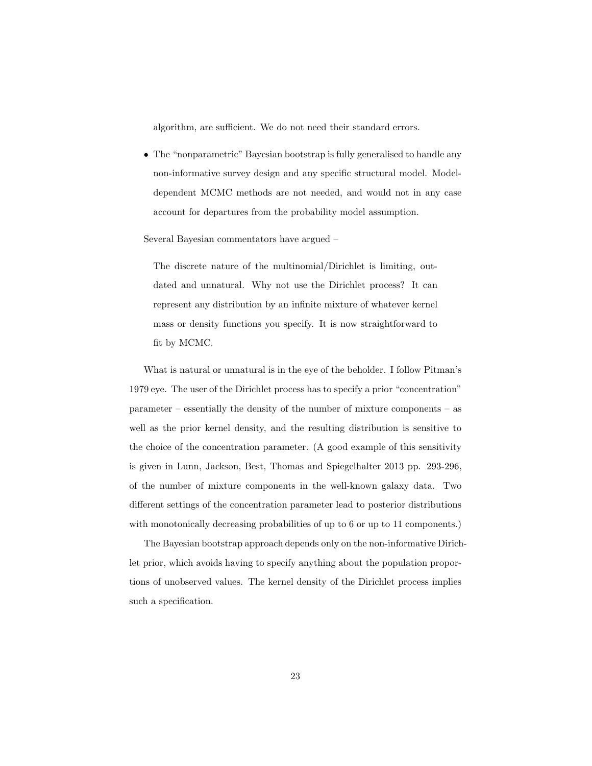algorithm, are sufficient. We do not need their standard errors.

• The "nonparametric" Bayesian bootstrap is fully generalised to handle any non-informative survey design and any specific structural model. Modeldependent MCMC methods are not needed, and would not in any case account for departures from the probability model assumption.

Several Bayesian commentators have argued –

The discrete nature of the multinomial/Dirichlet is limiting, outdated and unnatural. Why not use the Dirichlet process? It can represent any distribution by an infinite mixture of whatever kernel mass or density functions you specify. It is now straightforward to fit by MCMC.

What is natural or unnatural is in the eye of the beholder. I follow Pitman's 1979 eye. The user of the Dirichlet process has to specify a prior "concentration" parameter – essentially the density of the number of mixture components – as well as the prior kernel density, and the resulting distribution is sensitive to the choice of the concentration parameter. (A good example of this sensitivity is given in Lunn, Jackson, Best, Thomas and Spiegelhalter 2013 pp. 293-296, of the number of mixture components in the well-known galaxy data. Two different settings of the concentration parameter lead to posterior distributions with monotonically decreasing probabilities of up to 6 or up to 11 components.)

The Bayesian bootstrap approach depends only on the non-informative Dirichlet prior, which avoids having to specify anything about the population proportions of unobserved values. The kernel density of the Dirichlet process implies such a specification.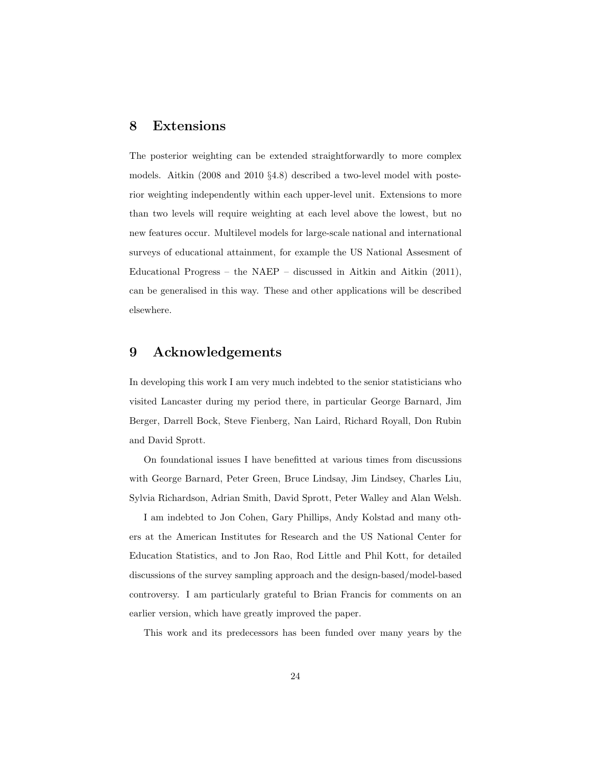#### 8 Extensions

The posterior weighting can be extended straightforwardly to more complex models. Aitkin (2008 and 2010 §4.8) described a two-level model with posterior weighting independently within each upper-level unit. Extensions to more than two levels will require weighting at each level above the lowest, but no new features occur. Multilevel models for large-scale national and international surveys of educational attainment, for example the US National Assesment of Educational Progress – the NAEP – discussed in Aitkin and Aitkin (2011), can be generalised in this way. These and other applications will be described elsewhere.

#### 9 Acknowledgements

In developing this work I am very much indebted to the senior statisticians who visited Lancaster during my period there, in particular George Barnard, Jim Berger, Darrell Bock, Steve Fienberg, Nan Laird, Richard Royall, Don Rubin and David Sprott.

On foundational issues I have benefitted at various times from discussions with George Barnard, Peter Green, Bruce Lindsay, Jim Lindsey, Charles Liu, Sylvia Richardson, Adrian Smith, David Sprott, Peter Walley and Alan Welsh.

I am indebted to Jon Cohen, Gary Phillips, Andy Kolstad and many others at the American Institutes for Research and the US National Center for Education Statistics, and to Jon Rao, Rod Little and Phil Kott, for detailed discussions of the survey sampling approach and the design-based/model-based controversy. I am particularly grateful to Brian Francis for comments on an earlier version, which have greatly improved the paper.

This work and its predecessors has been funded over many years by the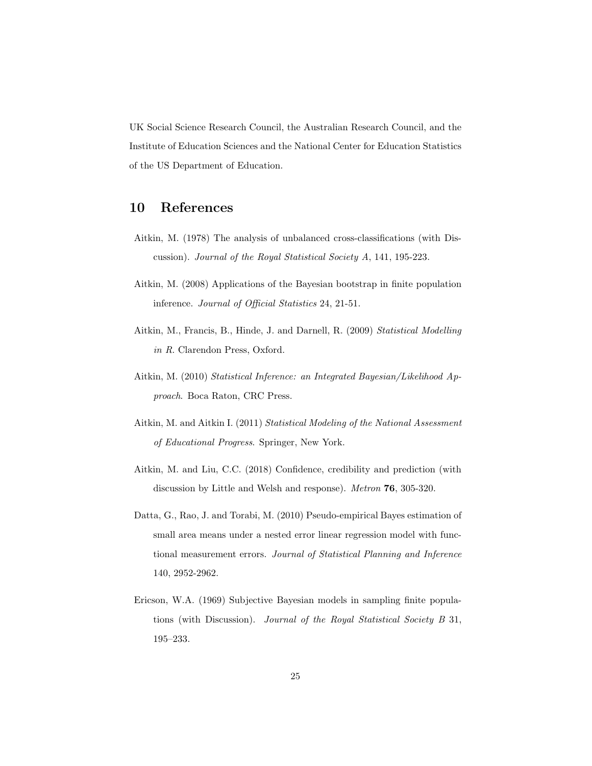UK Social Science Research Council, the Australian Research Council, and the Institute of Education Sciences and the National Center for Education Statistics of the US Department of Education.

### 10 References

- Aitkin, M. (1978) The analysis of unbalanced cross-classifications (with Discussion). Journal of the Royal Statistical Society A, 141, 195-223.
- Aitkin, M. (2008) Applications of the Bayesian bootstrap in finite population inference. Journal of Official Statistics 24, 21-51.
- Aitkin, M., Francis, B., Hinde, J. and Darnell, R. (2009) Statistical Modelling in R. Clarendon Press, Oxford.
- Aitkin, M. (2010) Statistical Inference: an Integrated Bayesian/Likelihood Approach. Boca Raton, CRC Press.
- Aitkin, M. and Aitkin I. (2011) Statistical Modeling of the National Assessment of Educational Progress. Springer, New York.
- Aitkin, M. and Liu, C.C. (2018) Confidence, credibility and prediction (with discussion by Little and Welsh and response). Metron 76, 305-320.
- Datta, G., Rao, J. and Torabi, M. (2010) Pseudo-empirical Bayes estimation of small area means under a nested error linear regression model with functional measurement errors. Journal of Statistical Planning and Inference 140, 2952-2962.
- Ericson, W.A. (1969) Subjective Bayesian models in sampling finite populations (with Discussion). Journal of the Royal Statistical Society B 31, 195–233.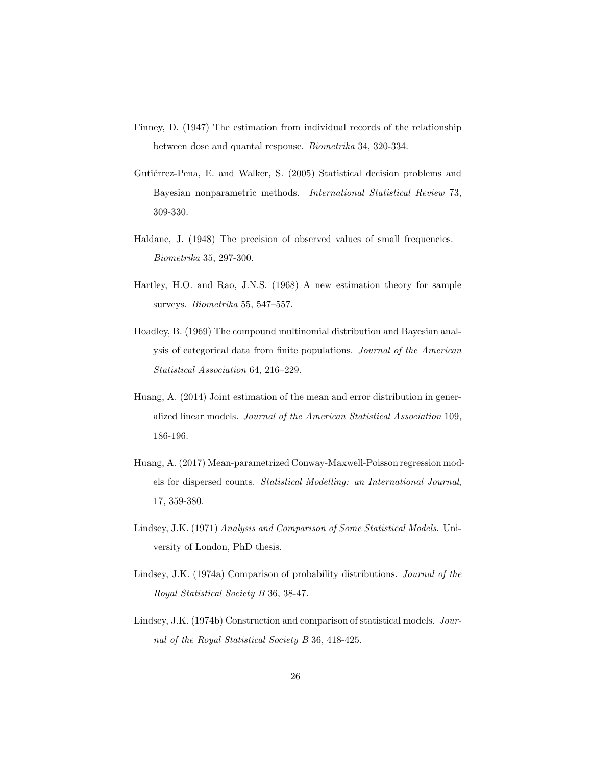- Finney, D. (1947) The estimation from individual records of the relationship between dose and quantal response. Biometrika 34, 320-334.
- Gutiérrez-Pena, E. and Walker, S. (2005) Statistical decision problems and Bayesian nonparametric methods. International Statistical Review 73, 309-330.
- Haldane, J. (1948) The precision of observed values of small frequencies. Biometrika 35, 297-300.
- Hartley, H.O. and Rao, J.N.S. (1968) A new estimation theory for sample surveys. Biometrika 55, 547–557.
- Hoadley, B. (1969) The compound multinomial distribution and Bayesian analysis of categorical data from finite populations. Journal of the American Statistical Association 64, 216–229.
- Huang, A. (2014) Joint estimation of the mean and error distribution in generalized linear models. Journal of the American Statistical Association 109, 186-196.
- Huang, A. (2017) Mean-parametrized Conway-Maxwell-Poisson regression models for dispersed counts. Statistical Modelling: an International Journal, 17, 359-380.
- Lindsey, J.K. (1971) Analysis and Comparison of Some Statistical Models. University of London, PhD thesis.
- Lindsey, J.K. (1974a) Comparison of probability distributions. Journal of the Royal Statistical Society B 36, 38-47.
- Lindsey, J.K. (1974b) Construction and comparison of statistical models. Journal of the Royal Statistical Society B 36, 418-425.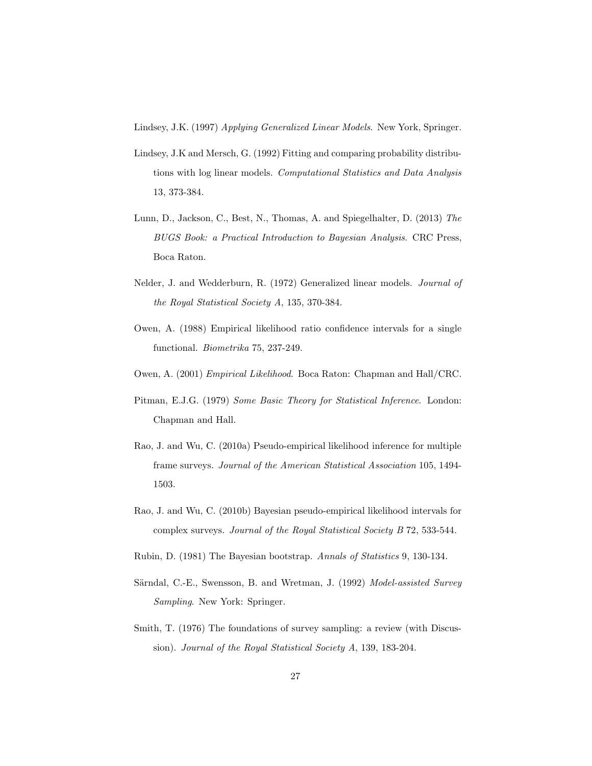Lindsey, J.K. (1997) Applying Generalized Linear Models. New York, Springer.

- Lindsey, J.K and Mersch, G. (1992) Fitting and comparing probability distributions with log linear models. Computational Statistics and Data Analysis 13, 373-384.
- Lunn, D., Jackson, C., Best, N., Thomas, A. and Spiegelhalter, D. (2013) The BUGS Book: a Practical Introduction to Bayesian Analysis. CRC Press, Boca Raton.
- Nelder, J. and Wedderburn, R. (1972) Generalized linear models. Journal of the Royal Statistical Society A, 135, 370-384.
- Owen, A. (1988) Empirical likelihood ratio confidence intervals for a single functional. Biometrika 75, 237-249.
- Owen, A. (2001) Empirical Likelihood. Boca Raton: Chapman and Hall/CRC.
- Pitman, E.J.G. (1979) Some Basic Theory for Statistical Inference. London: Chapman and Hall.
- Rao, J. and Wu, C. (2010a) Pseudo-empirical likelihood inference for multiple frame surveys. Journal of the American Statistical Association 105, 1494- 1503.
- Rao, J. and Wu, C. (2010b) Bayesian pseudo-empirical likelihood intervals for complex surveys. Journal of the Royal Statistical Society B 72, 533-544.
- Rubin, D. (1981) The Bayesian bootstrap. Annals of Statistics 9, 130-134.
- Särndal, C.-E., Swensson, B. and Wretman, J. (1992) Model-assisted Survey Sampling. New York: Springer.
- Smith, T. (1976) The foundations of survey sampling: a review (with Discussion). Journal of the Royal Statistical Society A, 139, 183-204.